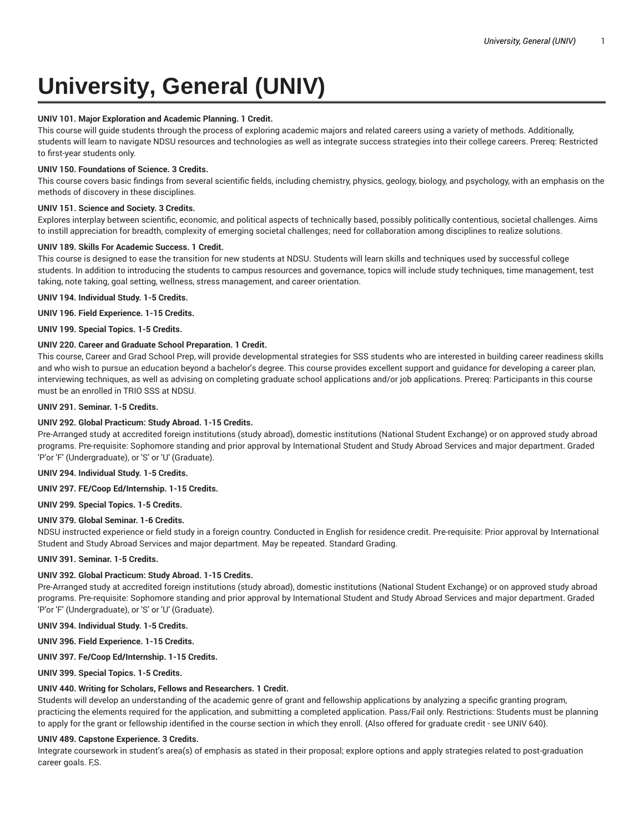# **University, General (UNIV)**

## **UNIV 101. Major Exploration and Academic Planning. 1 Credit.**

This course will guide students through the process of exploring academic majors and related careers using a variety of methods. Additionally, students will learn to navigate NDSU resources and technologies as well as integrate success strategies into their college careers. Prereq: Restricted to first-year students only.

## **UNIV 150. Foundations of Science. 3 Credits.**

This course covers basic findings from several scientific fields, including chemistry, physics, geology, biology, and psychology, with an emphasis on the methods of discovery in these disciplines.

# **UNIV 151. Science and Society. 3 Credits.**

Explores interplay between scientific, economic, and political aspects of technically based, possibly politically contentious, societal challenges. Aims to instill appreciation for breadth, complexity of emerging societal challenges; need for collaboration among disciplines to realize solutions.

## **UNIV 189. Skills For Academic Success. 1 Credit.**

This course is designed to ease the transition for new students at NDSU. Students will learn skills and techniques used by successful college students. In addition to introducing the students to campus resources and governance, topics will include study techniques, time management, test taking, note taking, goal setting, wellness, stress management, and career orientation.

## **UNIV 194. Individual Study. 1-5 Credits.**

**UNIV 196. Field Experience. 1-15 Credits.**

**UNIV 199. Special Topics. 1-5 Credits.**

# **UNIV 220. Career and Graduate School Preparation. 1 Credit.**

This course, Career and Grad School Prep, will provide developmental strategies for SSS students who are interested in building career readiness skills and who wish to pursue an education beyond a bachelor's degree. This course provides excellent support and guidance for developing a career plan, interviewing techniques, as well as advising on completing graduate school applications and/or job applications. Prereq: Participants in this course must be an enrolled in TRIO SSS at NDSU.

## **UNIV 291. Seminar. 1-5 Credits.**

## **UNIV 292. Global Practicum: Study Abroad. 1-15 Credits.**

Pre-Arranged study at accredited foreign institutions (study abroad), domestic institutions (National Student Exchange) or on approved study abroad programs. Pre-requisite: Sophomore standing and prior approval by International Student and Study Abroad Services and major department. Graded 'P'or 'F' (Undergraduate), or 'S' or 'U' (Graduate).

**UNIV 294. Individual Study. 1-5 Credits.**

## **UNIV 297. FE/Coop Ed/Internship. 1-15 Credits.**

**UNIV 299. Special Topics. 1-5 Credits.**

## **UNIV 379. Global Seminar. 1-6 Credits.**

NDSU instructed experience or field study in a foreign country. Conducted in English for residence credit. Pre-requisite: Prior approval by International Student and Study Abroad Services and major department. May be repeated. Standard Grading.

**UNIV 391. Seminar. 1-5 Credits.**

## **UNIV 392. Global Practicum: Study Abroad. 1-15 Credits.**

Pre-Arranged study at accredited foreign institutions (study abroad), domestic institutions (National Student Exchange) or on approved study abroad programs. Pre-requisite: Sophomore standing and prior approval by International Student and Study Abroad Services and major department. Graded 'P'or 'F' (Undergraduate), or 'S' or 'U' (Graduate).

**UNIV 394. Individual Study. 1-5 Credits.**

**UNIV 396. Field Experience. 1-15 Credits.**

**UNIV 397. Fe/Coop Ed/Internship. 1-15 Credits.**

**UNIV 399. Special Topics. 1-5 Credits.**

## **UNIV 440. Writing for Scholars, Fellows and Researchers. 1 Credit.**

Students will develop an understanding of the academic genre of grant and fellowship applications by analyzing a specific granting program, practicing the elements required for the application, and submitting a completed application. Pass/Fail only. Restrictions: Students must be planning to apply for the grant or fellowship identified in the course section in which they enroll. {Also offered for graduate credit - see UNIV 640}.

# **UNIV 489. Capstone Experience. 3 Credits.**

Integrate coursework in student's area(s) of emphasis as stated in their proposal; explore options and apply strategies related to post-graduation career goals. F,S.